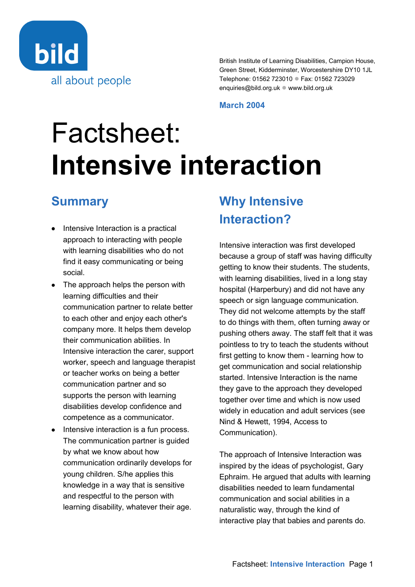

British Institute of Learning Disabilities, Campion House, Green Street, Kidderminster, Worcestershire DY10 1JL Telephone: 01562 723010 Fax: 01562 723029 enquiries@bild.org.uk · www.bild.org.uk

**March 2004**

# Factsheet: **Intensive interaction**

#### **Summary**

- Intensive Interaction is a practical approach to interacting with people with learning disabilities who do not find it easy communicating or being social.
- The approach helps the person with learning difficulties and their communication partner to relate better to each other and enjoy each other's company more. It helps them develop their communication abilities. In Intensive interaction the carer, support worker, speech and language therapist or teacher works on being a better communication partner and so supports the person with learning disabilities develop confidence and competence as a communicator.
- Intensive interaction is a fun process. The communication partner is guided by what we know about how communication ordinarily develops for young children. S/he applies this knowledge in a way that is sensitive and respectful to the person with learning disability, whatever their age.

# **Why Intensive Interaction?**

Intensive interaction was first developed because a group of staff was having difficulty getting to know their students. The students, with learning disabilities, lived in a long stay hospital (Harperbury) and did not have any speech or sign language communication. They did not welcome attempts by the staff to do things with them, often turning away or pushing others away. The staff felt that it was pointless to try to teach the students without first getting to know them - learning how to get communication and social relationship started. Intensive Interaction is the name they gave to the approach they developed together over time and which is now used widely in education and adult services (see Nind & Hewett, 1994, Access to Communication).

The approach of Intensive Interaction was inspired by the ideas of psychologist, Gary Ephraim. He argued that adults with learning disabilities needed to learn fundamental communication and social abilities in a naturalistic way, through the kind of interactive play that babies and parents do.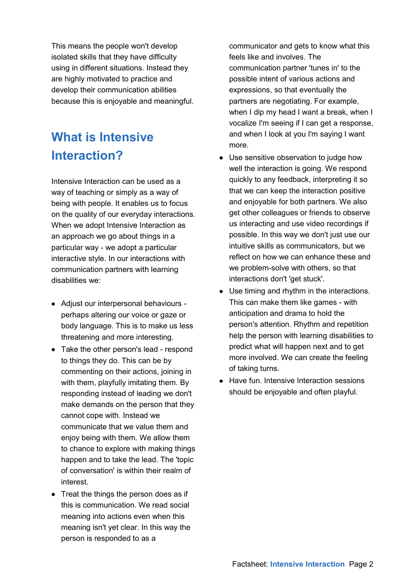This means the people won't develop isolated skills that they have difficulty using in different situations. Instead they are highly motivated to practice and develop their communication abilities because this is enjoyable and meaningful.

### **What is Intensive Interaction?**

Intensive Interaction can be used as a way of teaching or simply as a way of being with people. It enables us to focus on the quality of our everyday interactions. When we adopt Intensive Interaction as an approach we go about things in a particular way - we adopt a particular interactive style. In our interactions with communication partners with learning disabilities we:

- Adjust our interpersonal behaviours perhaps altering our voice or gaze or body language. This is to make us less threatening and more interesting.
- Take the other person's lead respond to things they do. This can be by commenting on their actions, joining in with them, playfully imitating them. By responding instead of leading we don't make demands on the person that they cannot cope with. Instead we communicate that we value them and enjoy being with them. We allow them to chance to explore with making things happen and to take the lead. The 'topic of conversation' is within their realm of interest.
- Treat the things the person does as if this is communication. We read social meaning into actions even when this meaning isn't yet clear. In this way the person is responded to as a

communicator and gets to know what this feels like and involves. The communication partner 'tunes in' to the possible intent of various actions and expressions, so that eventually the partners are negotiating. For example, when I dip my head I want a break, when I vocalize I'm seeing if I can get a response, and when I look at you I'm saying I want more.

- Use sensitive observation to judge how well the interaction is going. We respond quickly to any feedback, interpreting it so that we can keep the interaction positive and enjoyable for both partners. We also get other colleagues or friends to observe us interacting and use video recordings if possible. In this way we don't just use our intuitive skills as communicators, but we reflect on how we can enhance these and we problem-solve with others, so that interactions don't 'get stuck'.
- Use timing and rhythm in the interactions. This can make them like games - with anticipation and drama to hold the person's attention. Rhythm and repetition help the person with learning disabilities to predict what will happen next and to get more involved. We can create the feeling of taking turns.
- Have fun. Intensive Interaction sessions should be enjoyable and often playful.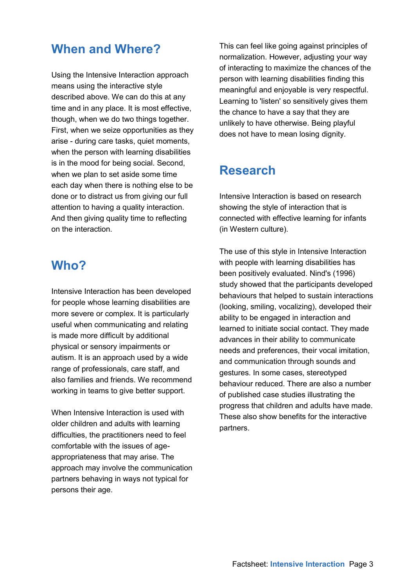#### **When and Where?**

Using the Intensive Interaction approach means using the interactive style described above. We can do this at any time and in any place. It is most effective, though, when we do two things together. First, when we seize opportunities as they arise - during care tasks, quiet moments, when the person with learning disabilities is in the mood for being social. Second, when we plan to set aside some time each day when there is nothing else to be done or to distract us from giving our full attention to having a quality interaction. And then giving quality time to reflecting on the interaction.

#### **Who?**

Intensive Interaction has been developed for people whose learning disabilities are more severe or complex. It is particularly useful when communicating and relating is made more difficult by additional physical or sensory impairments or autism. It is an approach used by a wide range of professionals, care staff, and also families and friends. We recommend working in teams to give better support.

When Intensive Interaction is used with older children and adults with learning difficulties, the practitioners need to feel comfortable with the issues of ageappropriateness that may arise. The approach may involve the communication partners behaving in ways not typical for persons their age.

This can feel like going against principles of normalization. However, adjusting your way of interacting to maximize the chances of the person with learning disabilities finding this meaningful and enjoyable is very respectful. Learning to 'listen' so sensitively gives them the chance to have a say that they are unlikely to have otherwise. Being playful does not have to mean losing dignity.

#### **Research**

Intensive Interaction is based on research showing the style of interaction that is connected with effective learning for infants (in Western culture).

The use of this style in Intensive Interaction with people with learning disabilities has been positively evaluated. Nind's (1996) study showed that the participants developed behaviours that helped to sustain interactions (looking, smiling, vocalizing), developed their ability to be engaged in interaction and learned to initiate social contact. They made advances in their ability to communicate needs and preferences, their vocal imitation, and communication through sounds and gestures. In some cases, stereotyped behaviour reduced. There are also a number of published case studies illustrating the progress that children and adults have made. These also show benefits for the interactive partners.